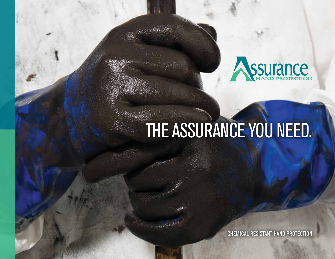

## THE ASSURANCE YOU NEED.

chemical resistant hand protection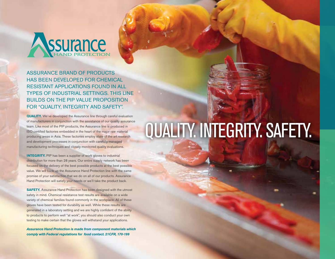

Assurance brand of products has been developed for chemical resistant applications found in all types of industrial settings. This line builds on the PIP value proposition for "quality, integrity and safety".

**QUALITY.** We've developed the Assurance line through careful evaluation of manufacturers in conjunction with the assistance of our quality assurance team. Like most of the PIP products, the Assurance line is produced in ISO certified factories embedded in the heart of the major raw material producing areas in Asia. These factories employ state of the art research and development processes in conjunction with carefully managed manufacturing techniques and closely monitored quality evaluations.

**INTEGRITY.** PIP has been a supplier of work gloves to industrial distribution for more than 28 years. Our entire supply network has been focused on the delivery of the best possible products at the best possible value. We will back up the Assurance Hand Protection line with the same promise of your satisfaction that we do on all of our products. Assurance Hand Protection will satisfy your needs or we'll take the product back.

**SAFETY.** Assurance Hand Protection has been designed with the utmost safety in mind. Chemical resistance test results are available on a wide variety of chemical families found commonly in the workplace. All of these gloves have been tested for durability as well. While these results are generated in a laboratory setting and we are highly confident of the ability to products to perform well "at work", you should also conduct your own testing to make certain that the gloves will withstand your applications.

*Assurance Hand Protection is made from component materials which comply with Federal regulations for food contact. 21CFR, 170-199*

## QUALITY. INTEGRITY. SAFETY.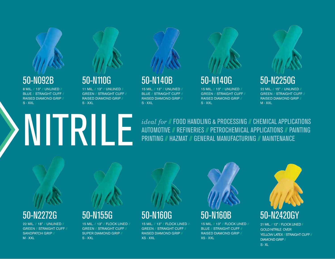#### 50-N092B

8 MIL. // 13" // UNLINED **BLUE // STRAIGHT CUFF** RAISED DIAMOND GRIP S - XXL



#### 50-N110G

11 MIL. // 13" // UNLINED **GREEN // STRAIGHT CUFF** raised diamond grip // S - XXL



#### 50-N140B

15 mil. // 13" // unlined // BLUE // STRAIGHT CUFF raised diamond grip // S - XXL



#### 50-N140G

15 mil. // 13" // unlined // **GREEN // STRAIGHT CUFF.** raised diamond grip // S - XXL



#### 50-N2250G

22 mil. // 15" // unlined // **GREEN // STRAIGHT CUFF** RAISED DIAMOND GRIP M - XXL

NITRILEI (N. 1990) FOOD HANDLING & PROCESSING // CHEMICAL APPLICATIONS<br>AUTOMOTIVE // REFINERIES // PETROCHEMICAL APPLICATIONS // PAINTING<br>PRINTING // HAZMAT // GENERAL MANUFACTURING // MAINTENANCE automotive // refineries // petrochemical applications // painting printing // hazmat // general manufacturing // maintenance

### 50-N2272G

22 MIL. // 18" // UNLINED **GREEN // STRAIGHT CUFF** SANDPATCH GRIP M - XXL

#### 50-N155G

15 MIL. // 13" // FLOCK LINED **GREEN // STRAIGHT CUFF** SUPER DIAMOND GRIP S - XXL

#### 50-N160G

15 mil. // 13" // Flock lined // **GREEN // STRAIGHT CUFF.** Raised Diamond grip // XS - XXL



#### 50-N160B

15 mil. // 13" // Flock lined // BLUE // STRAIGHT CUFF RAISED DIAMOND GRIP XS - XXL



21 MIL. // 12" // FLOCK LINED **GOLD NITRILE OVER** YELLOW LATEX // STRAIGHT CUFF / DIAMOND GRIP  $S - XL$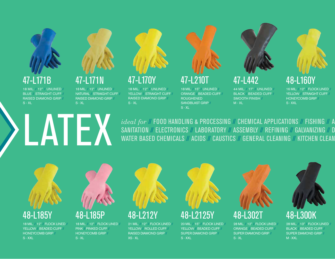

S - XL



#### 47-L171N

18 mil. // 12" // unlined // BLUE // STRAIGHT CUFF RAISED DIAMOND GRIP S - XL

18 mil. // 12" // unlined // NATURAL // STRAIGHT CUFF / raised diamond grip //

18 mil. // 12" // UNLINED // YELLOW // STRAIGHT CUFF RAISED DIAMOND grip //  $S - XL$ 

47-L170Y



#### 47-L210T

18 mil. // 15" // UNLINED // ORANGE // BEADED CUFF / ROUGHENED SANDBLAST GRIP S - XL

47-L442 44 MIL. // 17" // UNLINED

BLACK // BEADED CUFF SMOOTH FINISH //

M - XL

48-L160Y

16 MIL. // 12" // FLOCK LINED YELLOW // STRAIGHT CUFF HONEYCOMB grip // S - XXL

# LATEX

*ideal for #* F00D HANDLING & PROCESSING *#* CHEMICAL APPLICATIONS *#* FISHING *#* A SANITATION // ELECTRONICS // LABORATORY // ASSEMBLY // REFINING // GALVANIZING // D WATER BASED CHEMICALS // ACIDS // CAUSTICS // GENERAL CLEANING // KITCHEN CLEAN



#### 48-L185Y

18 MIL. // 12" // FLOCK LINED YELLOW // BEADED CUFF HONEYCOMB GRIP S - XXL



18 mil. // 12" // FLOCK LINED // PINK // PINKED CUFF HONEYCOMB GRIP S - XL

### 48-L212Y

21 MIL. // 12" // FLOCK LINED YELLOW // ROLLED CUFF raised DIAMOND GRIP // XS - XL



#### 48-L2125Y

20 mil. // 15" // FLOCK LINED // YELLOW // BEADED CUFF SUPER DIAMOND grip // S - XXL



28 MIL. // 12" // FLOCK LINED ORANGE // BEADED cuff // SUPER DIAMOND GRIP  $S - XL$ 



48-L300K

28 MIL. // 13" // FLOCK LINED BLACK // BEADED CUFF SUPER DIAMOND GRIP M - XXL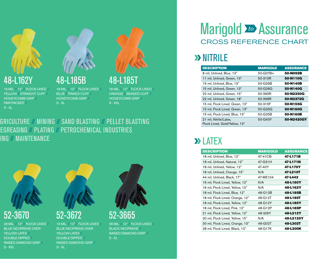

## 48-L185B

16 MIL. // 12" // FLOCK LINED / YELLOW // STRAIGHT CUFF // HONEYCOMB grip // PAIR PACKED /  $S - XL$ 

18 mil. // 12" // FLOCK LINED // BLUE // PINKED cuff // HONEYCOMB GRIP // S - XL

18 MIL. // 12" // FLOCK LINED ORANGE // BEADED cuff // HONEYCOMB GRIP S - XXL

48-L185T

#### *ideal for* // food handling & processing // chemical applications // fishing // agriculture // mining // sand blasting // pellet blasting EGREASING // PLATING // PETROCHEMICAL INDUSTRIES ING // MAIN



28 mil. // 12" // Flock LINED // blue neoprene over YELLOW LATEX / double dipped // Raised diamond grip // S - XXL



19 mil. // 12" // Flock LINED // blue neoprene over YELLOW LATEX / DOUBLE DIPPED RAISED DIAMOND GRIP S - XL



#### 52-3665

28 MIL. // 12" // FLOCK LINED BI ACK NEOPRENE Raised diamond grip // S - XL

#### Marigold **Xo** Assurance cross reference chart *to*

#### **>> NITRILE**

| <b>DESCRIPTION</b>                                      | <b>MARIGOLD</b> | <b>ASSURANCE</b> |
|---------------------------------------------------------|-----------------|------------------|
| 8 mil, Unlined, Blue, 13"                               | $50 - G07B +$   | 50-N092B         |
| 11 mil, Unlined, Green, 13"                             | 50-310R         | 50-N110G         |
| 15 mil, Unlined, Blue, 13"                              | 50-G26B         | 50-N140B         |
| 15 mil, Unlined, Green, 13"                             | 50-G26G         | 50-N140G         |
| 22 mil, Unlined, Green, 15"                             | 50-365R         | 50-N2250G        |
| 22 mil, Unlined, Green, 18"                             | 50-368R         | 50-N2272G        |
| 15 mil, Flock Lined, Green, 13"                         | 50-315F         | 50-N155G         |
| 15 mil, Flock Lined, Green, 13"                         | 50-G25G         | 50-N160G         |
| 15 mil, Flock Lined, Blue, 13"                          | 50-G25B         | 50-N160B         |
| 21 mil, Nitrile/Latex,<br>Flock Lined, Gold/Yellow, 12" | 50-G43Y         | 50-N2420GY       |

#### **EXECUTE:**

| <b>DESCRIPTION</b>               | <b>MARIGOLD</b> | <b>ASSURANCE</b> |
|----------------------------------|-----------------|------------------|
| 18 mil, Unlined, Blue, 12"       | 47-41CB         | 47-L171B         |
| 18 mil, Unlined, Natural, 12"    | 47-G31H         | 47-L171N         |
| 18 mil, Unlined, Yellow, 12"     | 47-40Y          | 47-L170Y         |
| 18 mil, Unlined, Orange, 15"     | N/A             | 47-L210T         |
| 44 mil, Unlined, Black, 17"      | 47-ME104        | 47-L442          |
| 16 mil, Flock Lined, Yellow, 12" | N/A             | 48-L160Y         |
| 16 mil, Flock Lined, Yellow, 12" | N/A             | 48-L162Y         |
| 18 mil, Flock Lined, Blue, 12"   | 48-G12B         | 48-L185B         |
| 18 mil, Flock Lined, Orange, 12" | 48-G12T         | 48-L185T         |
| 18 mil, Flock Lined, Yellow, 12" | 48-G12Y         | 48-L185Y         |
| 18 mil, Flock Lined, Pink, 12"   | 48-G12P         | 48-L185P         |
| 21 mil, Flock Lined, Yellow, 12" | 48-326Y         | 48-L212Y         |
| 20 mil, Flock Lined, Yellow, 15" | N/A             | 48-L2125Y        |
| 30 mil, Flock Lined, Orange, 13" | 48-G02T         | 48-L302T         |
| 28 mil, Flock Lined, Black, 13"  | 48-G17K         | 48-L300K         |